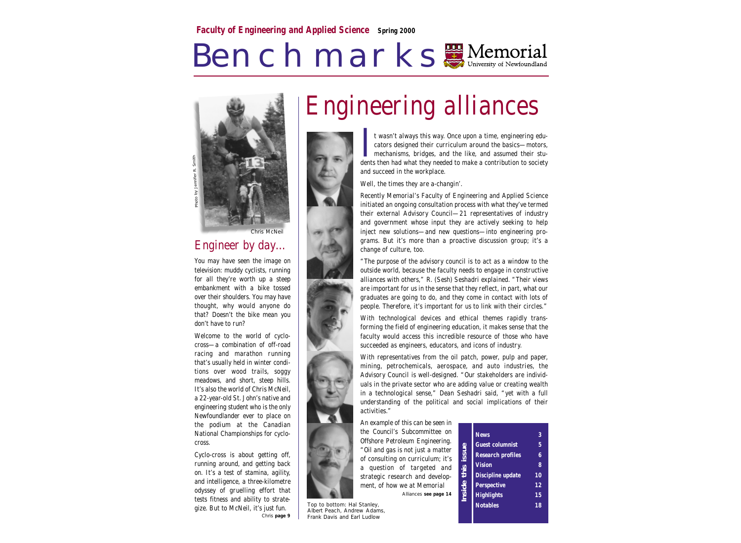# Benchmarks Memorial



#### Engineer by day…

You may have seen the image on television: muddy cyclists, running for all they're worth up a steep embankment with a bike tossed over their shoulders. You may have thought, why would anyone do that? Doesn't the bike mean you don't have to run?

Welcome to the world of cyclocross—a combination of off-road racing and marathon running that's usually held in winter conditions over wood trails, soggy meadows, and short, steep hills. It's also the world of Chris McNeil, a 22-year-old St. John's native and engineering student who is the only Newfoundlander ever to place on the podium at the Canadian National Championships for cyclocross.

Cyclo-cross is about getting off, running around, and getting back on. It's a test of stamina, agility, and intelligence, a three-kilometre odyssey of gruelling effort that tests fitness and ability to strategize. But to McNeil, it's just fun. Chris *page 9*



t wasn't always this way. Once upon a time, engineering educators designed their curriculum around the basics—motors, mechanisms, bridges, and the like, and assumed their stut wasn't always this way. Once upon a time, engineering educators designed their curriculum around the basics—motors, mechanisms, bridges, and the like, and assumed their students then had what they needed to make a contri and succeed in the workplace.

Well, the times they are a-changin'.

Recently Memorial's Faculty of Engineering and Applied Science initiated an ongoing consultation process with what they've termed their external Advisory Council—21 representatives of industry and government whose input they are actively seeking to help inject new solutions—and new questions—into engineering programs. But it's more than a proactive discussion group; it's a change of culture, too.

"The purpose of the advisory council is to act as a window to the outside world, because the faculty needs to engage in constructive alliances with others," R. (Sesh) Seshadri explained. "Their views are important for us in the sense that they reflect, in part, what our graduates are going to do, and they come in contact with lots of people. Therefore, it's important for us to link with their circles."

With technological devices and ethical themes rapidly transforming the field of engineering education, it makes sense that the faculty would access this incredible resource of those who have succeeded as engineers, educators, and icons of industry.

With representatives from the oil patch, power, pulp and paper, mining, petrochemicals, aerospace, and auto industries, the Advisory Council is well-designed. "Our stakeholders are individuals in the private sector who are adding value or creating wealth in a technological sense," Dean Seshadri said, "yet with a full understanding of the political and social implications of their activities."

An example of this can be seen in the Council's Subcommittee on Offshore Petroleum Engineering. "Oil and gas is not just a matter of consulting on curriculum; it's a question of targeted and strategic research and development, of how we at Memorial Alliances *see page 14*

Top to bottom: Hal Stanley, Albert Peach, Andrew Adams, Frank Davis and Earl Ludlow

| issue<br>this<br>lnside | <b>News</b>              | 3  |
|-------------------------|--------------------------|----|
|                         | <b>Guest columnist</b>   | 5  |
|                         | <b>Research profiles</b> | 6  |
|                         | <b>Vision</b>            | 8  |
|                         | Discipline update        | 10 |
|                         | Perspective              | 12 |
|                         | <b>Highlights</b>        | 15 |
|                         | <b>Notables</b>          | 18 |
|                         |                          |    |

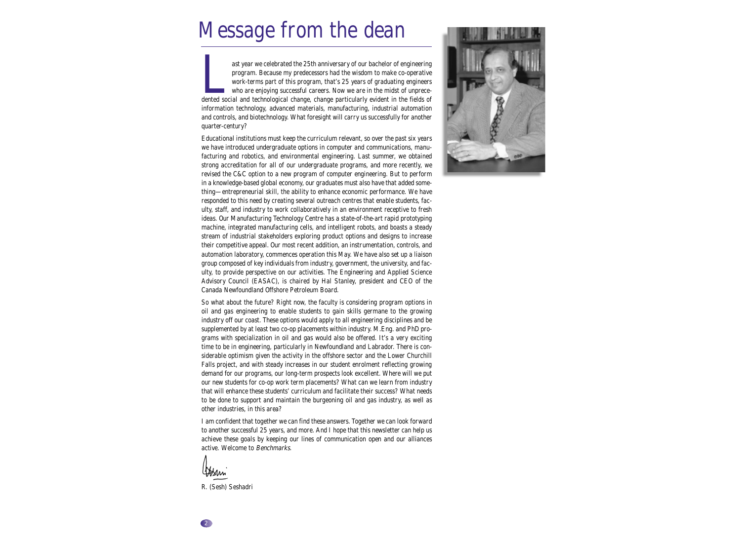## Message from the dean

ast year we celebrated the 25th anniversary of our bachelor of engineering program. Because my predecessors had the wisdom to make co-operative work-terms part of this program, that's 25 years of graduating engineers who are enjoying successful careers. Now we are in the midst of unprecedented social and technological change, change particularly evident in the fields of information technology, advanced materials, manufacturing, industrial automation and controls, and biotechnology. What foresight will carry us successfully for another quarter-century?

Educational institutions must keep the curriculum relevant, so over the past six years we have introduced undergraduate options in computer and communications, manufacturing and robotics, and environmental engineering. Last summer, we obtained strong accreditation for all of our undergraduate programs, and more recently, we revised the C&C option to a new program of computer engineering. But to perform in a knowledge-based global economy, our graduates must also have that added something—entrepreneurial skill, the ability to enhance economic performance. We have responded to this need by creating several outreach centres that enable students, faculty, staff, and industry to work collaboratively in an environment receptive to fresh ideas. Our Manufacturing Technology Centre has a state-of-the-art rapid prototyping machine, integrated manufacturing cells, and intelligent robots, and boasts a steady stream of industrial stakeholders exploring product options and designs to increase their competitive appeal. Our most recent addition, an instrumentation, controls, and automation laboratory, commences operation this May. We have also set up a liaison group composed of key individuals from industry, government, the university, and faculty, to provide perspective on our activities. The Engineering and Applied Science Advisory Council (EASAC), is chaired by Hal Stanley, president and CEO of the Canada Newfoundland Offshore Petroleum Board.

So what about the future? Right now, the faculty is considering program options in oil and gas engineering to enable students to gain skills germane to the growing industry off our coast. These options would apply to all engineering disciplines and be supplemented by at least two co-op placements within industry. M.Eng. and PhD programs with specialization in oil and gas would also be offered. It's a very exciting time to be in engineering, particularly in Newfoundland and Labrador. There is considerable optimism given the activity in the offshore sector and the Lower Churchill Falls project, and with steady increases in our student enrolment reflecting growing demand for our programs, our long-term prospects look excellent. Where will we put our new students for co-op work term placements? What can we learn from industry that will enhance these students' curriculum and facilitate their success? What needs to be done to support and maintain the burgeoning oil and gas industry, as well as other industries, in this area?

I am confident that together we can find these answers. Together we can look forward to another successful 25 years, and more. And I hope that this newsletter can help us achieve these goals by keeping our lines of communication open and our alliances active. Welcome to Benchmarks.

Wheni

R. (Sesh) Seshadri

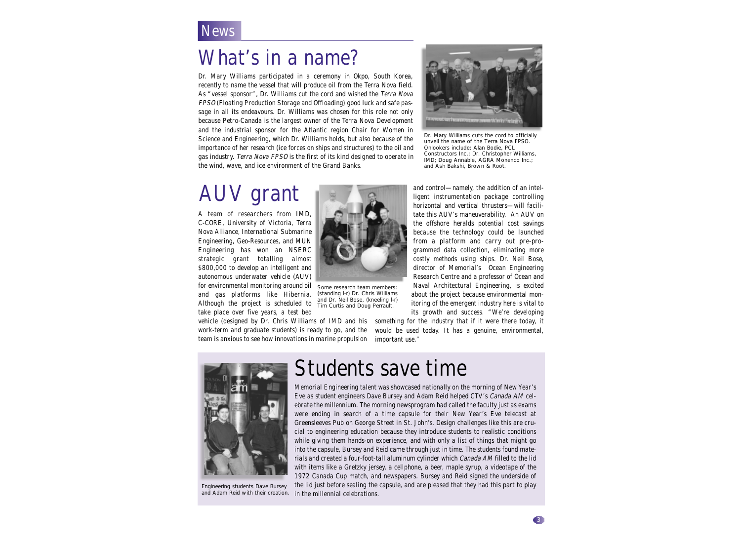### **News**

### What's in a name?

Dr. Mary Williams participated in a ceremony in Okpo, South Korea, recently to name the vessel that will produce oil from the Terra Nova field. As "vessel sponsor", Dr. Williams cut the cord and wished the Terra Nova FPSO (Floating Production Storage and Offloading) good luck and safe passage in all its endeavours. Dr. Williams was chosen for this role not only because Petro-Canada is the largest owner of the Terra Nova Development and the industrial sponsor for the Atlantic region Chair for Women in Science and Engineering, which Dr. Williams holds, but also because of the importance of her research (ice forces on ships and structures) to the oil and gas industry. Terra Nova FPSO is the first of its kind designed to operate in the wind, wave, and ice environment of the Grand Banks.



Dr. Mary Williams cuts the cord to officially unveil the name of the Terra Nova FPSO. Onlookers include: Alan Bodie, PCL Constructors Inc.; Dr. Christopher Williams, IMD; Doug Annable, AGRA Monenco Inc.; and Ash Bakshi, Brown & Root.

## AUV grant

A team of researchers from IMD, C-CORE, University of Victoria, Terra Nova Alliance, International Submarine Engineering, Geo-Resources, and MUN Engineering has won an NSERC strategic grant totalling almost \$800,000 to develop an intelligent and autonomous underwater vehicle (AUV) for environmental monitoring around oil and gas platforms like Hibernia. Although the project is scheduled to take place over five years, a test bed

vehicle (designed by Dr. Chris Williams of IMD and his something for the industry that if it were there today, it work-term and graduate students) is ready to go, and the team is anxious to see how innovations in marine propulsion

and control—namely, the addition of an intelligent instrumentation package controlling horizontal and vertical thrusters—will facilitate this AUV's maneuverability. An AUV on the offshore heralds potential cost savings because the technology could be launched from a platform and carry out pre-programmed data collection, eliminating more costly methods using ships. Dr. Neil Bose, director of Memorial's Ocean Engineering Research Centre and a professor of Ocean and Naval Architectural Engineering, is excited about the project because environmental monitoring of the emergent industry here is vital to its growth and success. "We're developing

would be used today. It has a genuine, environmental, important use."



Engineering students Dave Bursey and Adam Reid with their creation.

### Students save time

Some research team members: (standing l-r) Dr. Chris Williams and Dr. Neil Bose, (kneeling l-r) Tim Curtis and Doug Perrault.

Memorial Engineering talent was showcased nationally on the morning of New Year's Eve as student engineers Dave Bursey and Adam Reid helped CTV's Canada AM celebrate the millennium. The morning newsprogram had called the faculty just as exams were ending in search of a time capsule for their New Year's Eve telecast at Greensleeves Pub on George Street in St. John's. Design challenges like this are crucial to engineering education because they introduce students to realistic conditions while giving them hands-on experience, and with only a list of things that might go into the capsule, Bursey and Reid came through just in time. The students found materials and created a four-foot-tall aluminum cylinder which Canada AM filled to the lid with items like a Gretzky jersey, a cellphone, a beer, maple syrup, a videotape of the 1972 Canada Cup match, and newspapers. Bursey and Reid signed the underside of

the lid just before sealing the capsule, and are pleased that they had this part to play in the millennial celebrations.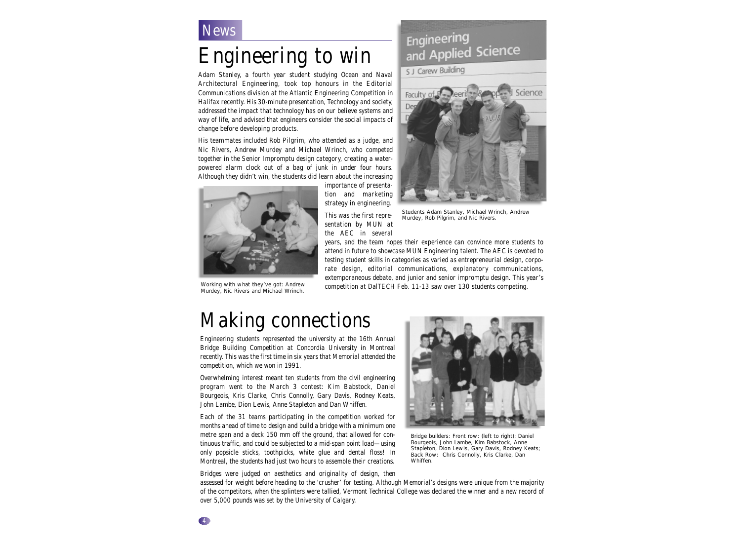### **News**

## Engineering to win

Adam Stanley, a fourth year student studying Ocean and Naval Architectural Engineering, took top honours in the Editorial Communications division at the Atlantic Engineering Competition in Halifax recently. His 30-minute presentation, Technology and society, addressed the impact that technology has on our believe systems and way of life, and advised that engineers consider the social impacts of change before developing products.

His teammates included Rob Pilgrim, who attended as a judge, and Nic Rivers, Andrew Murdey and Michael Wrinch, who competed together in the Senior Impromptu design category, creating a waterpowered alarm clock out of a bag of junk in under four hours. Although they didn't win, the students did learn about the increasing

> importance of presentation and marketing strategy in engineering.

This was the first representation by MUN at the AEC in several

Engineering and Applied Science

#### S J Carew Building



Working with what they've got: Andrew Murdey, Nic Rivers and Michael Wrinch.

Students Adam Stanley, Michael Wrinch, Andrew Murdey, Rob Pilgrim, and Nic Rivers.

years, and the team hopes their experience can convince more students to attend in future to showcase MUN Engineering talent. The AEC is devoted to testing student skills in categories as varied as entrepreneurial design, corporate design, editorial communications, explanatory communications, extemporaneous debate, and junior and senior impromptu design. This year's competition at DalTECH Feb. 11-13 saw over 130 students competing.

### Making connections

Engineering students represented the university at the 16th Annual Bridge Building Competition at Concordia University in Montreal recently. This was the first time in six years that Memorial attended the competition, which we won in 1991.

Overwhelming interest meant ten students from the civil engineering program went to the March 3 contest: Kim Babstock, Daniel Bourgeois, Kris Clarke, Chris Connolly, Gary Davis, Rodney Keats, John Lambe, Dion Lewis, Anne Stapleton and Dan Whiffen.

Each of the 31 teams participating in the competition worked for months ahead of time to design and build a bridge with a minimum one metre span and a deck 150 mm off the ground, that allowed for continuous traffic, and could be subjected to a mid-span point load—using only popsicle sticks, toothpicks, white glue and dental floss! In Montreal, the students had just two hours to assemble their creations.



Bridge builders: Front row: (left to right): Daniel Bourgeois, John Lambe, Kim Babstock, Anne Stapleton, Dion Lewis, Gary Davis, Rodney Keats; Back Row: Chris Connolly, Kris Clarke, Dan Whiffen.

Bridges were judged on aesthetics and originality of design, then assessed for weight before heading to the 'crusher' for testing. Although Memorial's designs were unique from the majority of the competitors, when the splinters were tallied, Vermont Technical College was declared the winner and a new record of

over 5,000 pounds was set by the University of Calgary.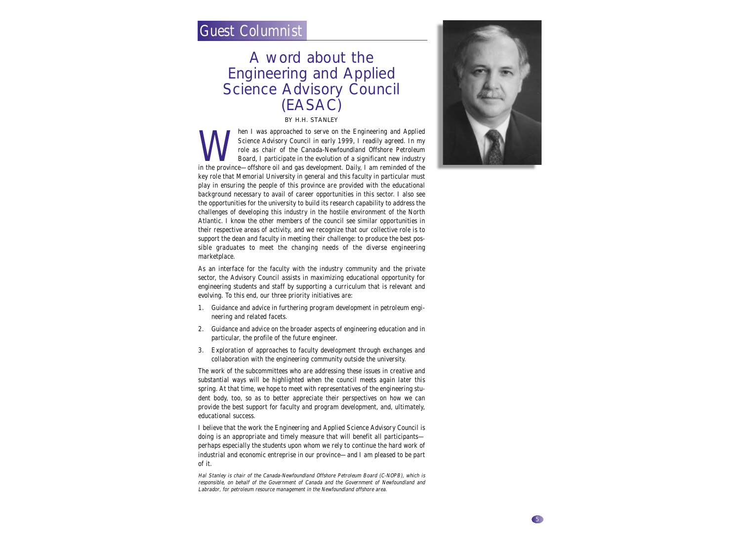### Guest Columnist

### A word about the Engineering and Applied Science Advisory Council (EASAC)

BY H.H. STANLEY

Man I was approached to serve on the Engineering and Applied<br>Science Advisory Council in early 1999, I readily agreed. In my<br>role as chair of the Canada-Newfoundland Offshore Petroleum<br>Board, I participate in the evolution Science Advisory Council in early 1999, I readily agreed. In my role as chair of the Canada-Newfoundland Offshore Petroleum Board, I participate in the evolution of a significant new industry in the province—offshore oil and gas development. Daily, I am reminded of the key role that Memorial University in general and this faculty in particular must play in ensuring the people of this province are provided with the educational background necessary to avail of career opportunities in this sector. I also see the opportunities for the university to build its research capability to address the challenges of developing this industry in the hostile environment of the North Atlantic. I know the other members of the council see similar opportunities in their respective areas of activity, and we recognize that our collective role is to support the dean and faculty in meeting their challenge: to produce the best possible graduates to meet the changing needs of the diverse engineering marketplace.

As an interface for the faculty with the industry community and the private sector, the Advisory Council assists in maximizing educational opportunity for engineering students and staff by supporting a curriculum that is relevant and evolving. To this end, our three priority initiatives are:

- 1. Guidance and advice in furthering program development in petroleum engineering and related facets.
- 2. Guidance and advice on the broader aspects of engineering education and in particular, the profile of the future engineer.
- 3. Exploration of approaches to faculty development through exchanges and collaboration with the engineering community outside the university.

The work of the subcommittees who are addressing these issues in creative and substantial ways will be highlighted when the council meets again later this spring. At that time, we hope to meet with representatives of the engineering student body, too, so as to better appreciate their perspectives on how we can provide the best support for faculty and program development, and, ultimately, educational success.

I believe that the work the Engineering and Applied Science Advisory Council is doing is an appropriate and timely measure that will benefit all participants perhaps especially the students upon whom we rely to continue the hard work of industrial and economic entreprise in our province—and I am pleased to be part of it.

Hal Stanley is chair of the Canada-Newfoundland Offshore Petroleum Board (C-NOPB), which is responsible, on behalf of the Government of Canada and the Government of Newfoundland and Labrador, for petroleum resource management in the Newfoundland offshore area.

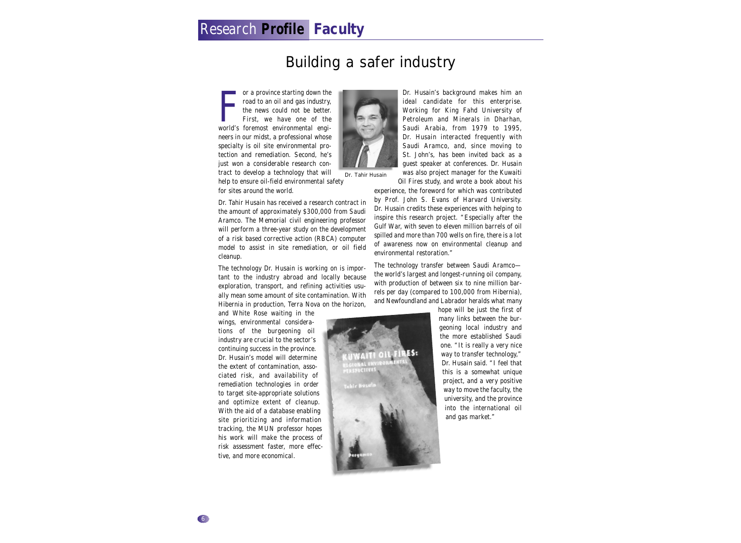### Research **Profile Faculty**

### Building a safer industry

or a province starting down the<br>road to an oil and gas industry,<br>the news could not be better.<br>First, we have one of the<br>world's foremost environmental engior a province starting down the road to an oil and gas industry, the news could not be better. First, we have one of the neers in our midst, a professional whose specialty is oil site environmental protection and remediation. Second, he's just won a considerable research con-



Dr. Tahir Husain has received a research contract in the amount of approximately \$300,000 from Saudi Aramco. The Memorial civil engineering professor will perform a three-year study on the development of a risk based corrective action (RBCA) computer model to assist in site remediation, or oil field cleanup.

The technology Dr. Husain is working on is important to the industry abroad and locally because exploration, transport, and refining activities usually mean some amount of site contamination. With Hibernia in production, Terra Nova on the horizon,

and White Rose waiting in the wings, environmental considerations of the burgeoning oil industry are crucial to the sector's continuing success in the province. Dr. Husain's model will determine the extent of contamination, associated risk, and availability of remediation technologies in order to target site-appropriate solutions and optimize extent of cleanup. With the aid of a database enabling site prioritizing and information tracking, the MUN professor hopes his work will make the process of risk assessment faster, more effective, and more economical.



ideal candidate for this enterprise. Working for King Fahd University of Petroleum and Minerals in Dharhan, Saudi Arabia, from 1979 to 1995, Dr. Husain interacted frequently with Saudi Aramco, and, since moving to St. John's, has been invited back as a guest speaker at conferences. Dr. Husain was also project manager for the Kuwaiti

Oil Fires study, and wrote a book about his

experience, the foreword for which was contributed by Prof. John S. Evans of Harvard University. Dr. Husain credits these experiences with helping to inspire this research project. "Especially after the Gulf War, with seven to eleven million barrels of oil spilled and more than 700 wells on fire, there is a lot of awareness now on environmental cleanup and environmental restoration."

The technology transfer between Saudi Aramco the world's largest and longest-running oil company, with production of between six to nine million barrels per day (compared to 100,000 from Hibernia), and Newfoundland and Labrador heralds what many



hope will be just the first of many links between the burgeoning local industry and the more established Saudi one. "It is really a very nice way to transfer technology," Dr. Husain said. "I feel that this is a somewhat unique project, and a very positive way to move the faculty, the university, and the province into the international oil and gas market."

6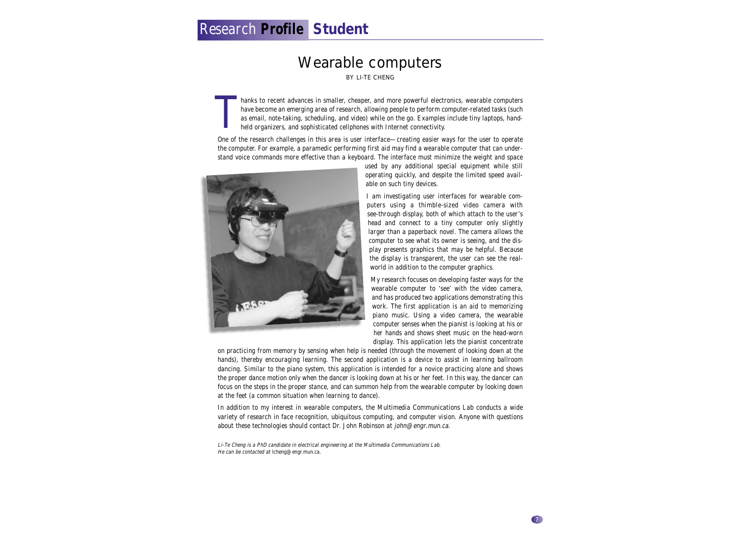### Research **Profile Student**

### Wearable computers

BY LI-TE CHENG

hanks to recent advances in smaller, cheaper, and more powerful electronics, wearable computers have become an emerging area of research, allowing people to perform computer-related tasks (such as email, note-taking, scheduling, and video) while on the go. Examples include tiny laptops, handheld organizers, and sophisticated cellphones with Internet connectivity. T

One of the research challenges in this area is user interface—creating easier ways for the user to operate the computer. For example, a paramedic performing first aid may find a wearable computer that can understand voice commands more effective than a keyboard. The interface must minimize the weight and space



used by any additional special equipment while still operating quickly, and despite the limited speed available on such tiny devices.

I am investigating user interfaces for wearable computers using a thimble-sized video camera with see-through display, both of which attach to the user's head and connect to a tiny computer only slightly larger than a paperback novel. The camera allows the computer to see what its owner is seeing, and the display presents graphics that may be helpful. Because the display is transparent, the user can see the realworld in addition to the computer graphics.

My research focuses on developing faster ways for the wearable computer to 'see' with the video camera, and has produced two applications demonstrating this work. The first application is an aid to memorizing piano music. Using a video camera, the wearable computer senses when the pianist is looking at his or her hands and shows sheet music on the head-worn display. This application lets the pianist concentrate

on practicing from memory by sensing when help is needed (through the movement of looking down at the hands), thereby encouraging learning. The second application is a device to assist in learning ballroom dancing. Similar to the piano system, this application is intended for a novice practicing alone and shows the proper dance motion only when the dancer is looking down at his or her feet. In this way, the dancer can focus on the steps in the proper stance, and can summon help from the wearable computer by looking down at the feet (a common situation when learning to dance).

In addition to my interest in wearable computers, the Multimedia Communications Lab conducts a wide variety of research in face recognition, ubiquitous computing, and computer vision. Anyone with questions about these technologies should contact Dr. John Robinson at john@engr.mun.ca.

Li-Te Cheng is a PhD candidate in electrical engineering at the Multimedia Communications Lab. He can be contacted at Icheng@engr.mun.ca.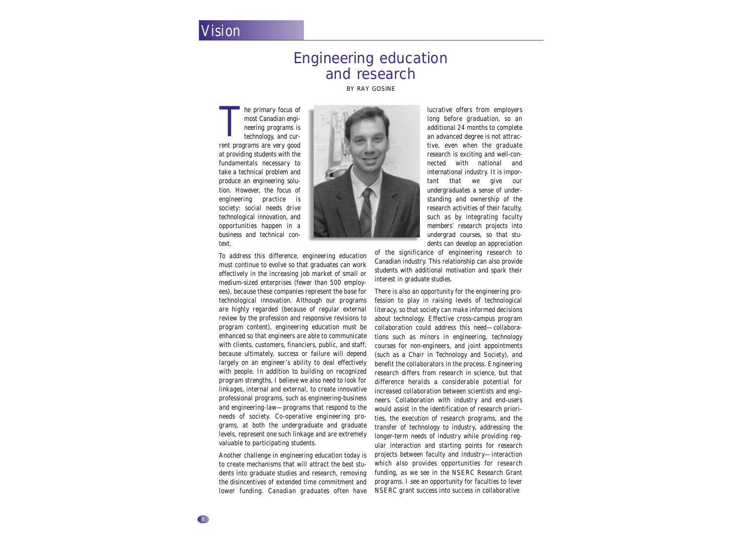### Vision

### Engineering education and research

BY RAY GOSINE

he primary focus of most Canadian engineering programs is technology, and current programs are very good at providing students with the fundamentals necessary to take a technical problem and produce an engineering solution. However, the focus of engineering practice is society: social needs drive technological innovation, and opportunities happen in a business and technical context. **T** 

To address this difference, engineering education must continue to evolve so that graduates can work effectively in the increasing job market of small or medium-sized enterprises (fewer than 500 employees), because these companies represent the base for technological innovation. Although our programs are highly regarded (because of regular external review by the profession and responsive revisions to program content), engineering education must be enhanced so that engineers are able to communicate with clients, customers, financiers, public, and staff; because ultimately, success or failure will depend largely on an engineer's ability to deal effectively with people. In addition to building on recognized program strengths, I believe we also need to look for linkages, internal and external, to create innovative professional programs, such as engineering-business and engineering-law—programs that respond to the needs of society. Co-operative engineering programs, at both the undergraduate and graduate levels, represent one such linkage and are extremely valuable to participating students.

Another challenge in engineering education today is to create mechanisms that will attract the best students into graduate studies and research, removing the disincentives of extended time commitment and lower funding. Canadian graduates often have

lucrative offers from employers long before graduation, so an additional 24 months to complete an advanced degree is not attractive, even when the graduate research is exciting and well-connected with national and international industry. It is important that we give our undergraduates a sense of understanding and ownership of the research activities of their faculty, such as by integrating faculty members' research projects into undergrad courses, so that students can develop an appreciation

of the significance of engineering research to Canadian industry. This relationship can also provide students with additional motivation and spark their interest in graduate studies.

There is also an opportunity for the engineering profession to play in raising levels of technological literacy, so that society can make informed decisions about technology. Effective cross-campus program collaboration could address this need—collaborations such as minors in engineering, technology courses for non-engineers, and joint appointments (such as a Chair in Technology and Society), and benefit the collaborators in the process. Engineering research differs from research in science, but that difference heralds a considerable potential for increased collaboration between scientists and engineers. Collaboration with industry and end-users would assist in the identification of research priorities, the execution of research programs, and the transfer of technology to industry, addressing the longer-term needs of industry while providing regular interaction and starting points for research projects between faculty and industry—interaction which also provides opportunities for research funding, as we see in the NSERC Research Grant programs. I see an opportunity for faculties to lever NSERC grant success into success in collaborative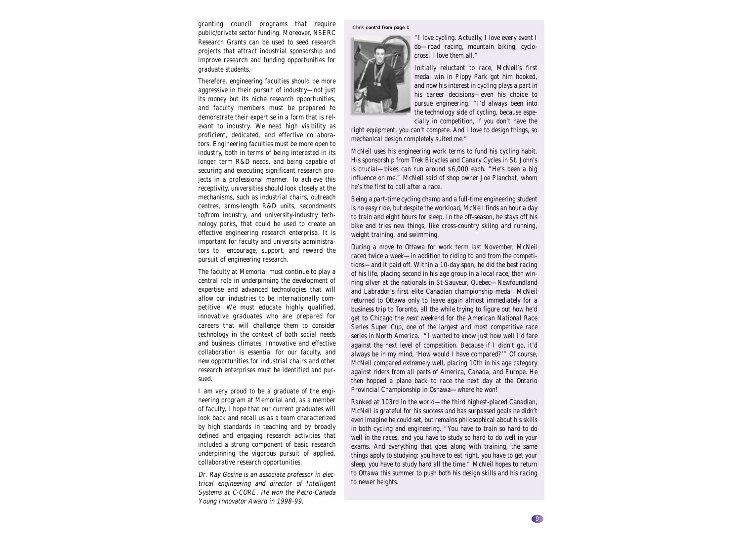granting council programs that require chris cont'd from page 1 public/private sector funding. Moreover, NSERC Research Grants can be used to seed research projects that attract industrial sponsorship and improve research and funding opportunities for graduate students.

Therefore, engineering faculties should be more aggressive in their pursuit of industry—not just its money but its niche research opportunities, and faculty members must be prepared to demonstrate their expertise in a form that is relevant to industry. We need high visibility as proficient, dedicated, and effective collaborators. Engineering faculties must be more open to industry, both in terms of being interested in its longer term R&D needs, and being capable of securing and executing significant research projects in a professional manner. To achieve this receptivity, universities should look closely at the mechanisms, such as industrial chairs, outreach centres, arms-length R&D units, secondments to/from industry, and university-industry technology parks, that could be used to create an effective engineering research enterprise. It is important for faculty and university administrators to encourage, support, and reward the pursuit of engineering research.

The faculty at Memorial must continue to play a central role in underpinning the development of expertise and advanced technologies that will allow our industries to be internationally competitive. We must educate highly qualified, innovative graduates who are prepared for careers that will challenge them to consider technology in the context of both social needs and business climates. Innovative and effective collaboration is essential for our faculty, and new opportunities for industrial chairs and other research enterprises must be identified and pursued.

I am very proud to be a graduate of the engineering program at Memorial and, as a member of faculty, I hope that our current graduates will look back and recall us as a team characterized by high standards in teaching and by broadly defined and engaging research activities that included a strong component of basic research underpinning the vigorous pursuit of applied, collaborative research opportunities.

Dr. Ray Gosine is an associate professor in electrical engineering and director of Intelligent Systems at C-CORE. He won the Petro-Canada Young Innovator Award in 1998-99.



"I love cycling. Actually, I love every event I do—road racing, mountain biking, cyclocross. I love them all."

Initially reluctant to race, McNeil's first medal win in Pippy Park got him hooked, and now his interest in cycling plays a part in his career decisions—even his choice to pursue engineering. "I'd always been into the technology side of cycling, because especially in competition, if you don't have the

right equipment, you can't compete. And I love to design things, so mechanical design completely suited me."

McNeil uses his engineering work terms to fund his cycling habit. His sponsorship from Trek Bicycles and Canary Cycles in St. John's is crucial—bikes can run around \$6,000 each. "He's been a big influence on me," McNeil said of shop owner Joe Planchat, whom he's the first to call after a race.

Being a part-time cycling champ and a full-time engineering student is no easy ride, but despite the workload, McNeil finds an hour a day to train and eight hours for sleep. In the off-season, he stays off his bike and tries new things, like cross-country skiing and running, weight training, and swimming.

During a move to Ottawa for work term last November, McNeil raced twice a week—in addition to riding to and from the competitions—and it paid off. Within a 10-day span, he did the best racing of his life, placing second in his age group in a local race, then winning silver at the nationals in St-Sauveur, Quebec—Newfoundland and Labrador's first elite Canadian championship medal. McNeil returned to Ottawa only to leave again almost immediately for a business trip to Toronto, all the while trying to figure out how he'd get to Chicago the *next* weekend for the American National Race Series Super Cup, one of the largest and most competitive race series in North America. "I wanted to know just how well I'd fare against the next level of competition. Because if I didn't go, it'd always be in my mind, 'How would I have compared?'" Of course, McNeil compared extremely well, placing 10th in his age category against riders from all parts of America, Canada, and Europe. He then hopped a plane back to race the next day at the Ontario Provincial Championship in Oshawa—where he won!

Ranked at 103rd in the world—the third highest-placed Canadian, McNeil is grateful for his success and has surpassed goals he didn't even imagine he could set, but remains philosophical about his skills in both cycling and engineering. "You have to train so hard to do well in the races, and you have to study so hard to do well in your exams. And everything that goes along with training, the same things apply to studying: you have to eat right, you have to get your sleep, you have to study hard all the time." McNeil hopes to return to Ottawa this summer to push both his design skills and his racing to newer heights.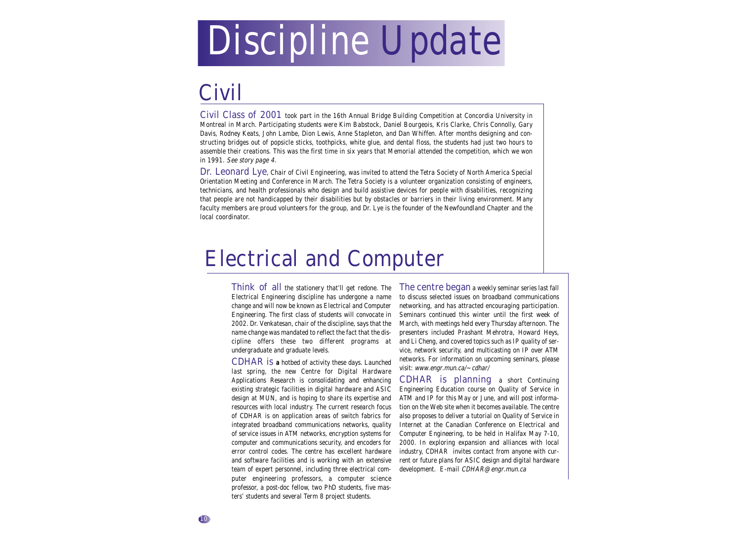# Discipline Update

## Civil

Civil Class of 2001 took part in the 16th Annual Bridge Building Competition at Concordia University in Montreal in March. Participating students were Kim Babstock, Daniel Bourgeois, Kris Clarke, Chris Connolly, Gary Davis, Rodney Keats, John Lambe, Dion Lewis, Anne Stapleton, and Dan Whiffen. After months designing and constructing bridges out of popsicle sticks, toothpicks, white glue, and dental floss, the students had just two hours to assemble their creations. This was the first time in six years that Memorial attended the competition, which we won in 1991. See story page 4.

Dr. Leonard Lye, Chair of Civil Engineering, was invited to attend the Tetra Society of North America Special Orientation Meeting and Conference in March. The Tetra Society is a volunteer organization consisting of engineers, technicians, and health professionals who design and build assistive devices for people with disabilities, recognizing that people are not handicapped by their disabilities but by obstacles or barriers in their living environment. Many faculty members are proud volunteers for the group, and Dr. Lye is the founder of the Newfoundland Chapter and the local coordinator.

## Electrical and Computer

Think of all the stationery that'll get redone. The Electrical Engineering discipline has undergone a name change and will now be known as Electrical and Computer Engineering. The first class of students will convocate in 2002. Dr. Venkatesan, chair of the discipline, says that the name change was mandated to reflect the fact that the discipline offers these two different programs at undergraduate and graduate levels.

CDHAR is **a** hotbed of activity these days. Launched last spring, the new Centre for Digital Hardware Applications Research is consolidating and enhancing existing strategic facilities in digital hardware and ASIC design at MUN, and is hoping to share its expertise and resources with local industry. The current research focus of CDHAR is on application areas of switch fabrics for integrated broadband communications networks, quality of service issues in ATM networks, encryption systems for computer and communications security, and encoders for error control codes. The centre has excellent hardware and software facilities and is working with an extensive team of expert personnel, including three electrical computer engineering professors, a computer science professor, a post-doc fellow, two PhD students, five masters' students and several Term 8 project students.

The centre began a weekly seminar series last fall to discuss selected issues on broadband communications networking, and has attracted encouraging participation. Seminars continued this winter until the first week of March, with meetings held every Thursday afternoon. The presenters included Prashant Mehrotra, Howard Heys, and Li Cheng, and covered topics such as IP quality of service, network security, and multicasting on IP over ATM networks. For information on upcoming seminars, please visit: www.engr.mun.ca/~cdhar/

CDHAR is planning a short Continuing Engineering Education course on Quality of Service in ATM and IP for this May or June, and will post information on the Web site when it becomes available. The centre also proposes to deliver a tutorial on Quality of Service in Internet at the Canadian Conference on Electrical and Computer Engineering, to be held in Halifax May 7-10, 2000. In exploring expansion and alliances with local industry, CDHAR invites contact from anyone with current or future plans for ASIC design and digital hardware development. E-mail CDHAR@engr.mun.ca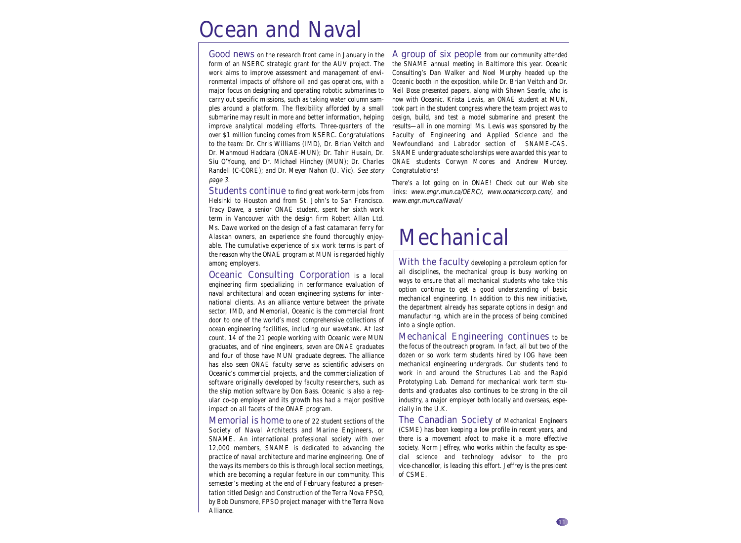## Ocean and Naval

Good news on the research front came in January in the form of an NSERC strategic grant for the AUV project. The work aims to improve assessment and management of environmental impacts of offshore oil and gas operations, with a major focus on designing and operating robotic submarines to carry out specific missions, such as taking water column samples around a platform. The flexibility afforded by a small submarine may result in more and better information, helping improve analytical modeling efforts. Three-quarters of the over \$1 million funding comes from NSERC. Congratulations to the team: Dr. Chris Williams (IMD), Dr. Brian Veitch and Dr. Mahmoud Haddara (ONAE-MUN); Dr. Tahir Husain, Dr. Siu O'Young, and Dr. Michael Hinchey (MUN); Dr. Charles Randell (C-CORE); and Dr. Meyer Nahon (U. Vic). See story page 3.

Students continue to find great work-term jobs from Helsinki to Houston and from St. John's to San Francisco. Tracy Dawe, a senior ONAE student, spent her sixth work term in Vancouver with the design firm Robert Allan Ltd. Ms. Dawe worked on the design of a fast catamaran ferry for Alaskan owners, an experience she found thoroughly enjoyable. The cumulative experience of six work terms is part of the reason why the ONAE program at MUN is regarded highly among employers.

Oceanic Consulting Corporation is a local engineering firm specializing in performance evaluation of naval architectural and ocean engineering systems for international clients. As an alliance venture between the private sector, IMD, and Memorial, Oceanic is the commercial front door to one of the world's most comprehensive collections of ocean engineering facilities, including our wavetank. At last count, 14 of the 21 people working with Oceanic were MUN graduates, and of nine engineers, seven are ONAE graduates and four of those have MUN graduate degrees. The alliance has also seen ONAE faculty serve as scientific advisers on Oceanic's commercial projects, and the commercialization of software originally developed by faculty researchers, such as the ship motion software by Don Bass. Oceanic is also a regular co-op employer and its growth has had a major positive impact on all facets of the ONAE program.

Memorial is home to one of 22 student sections of the Society of Naval Architects and Marine Engineers, or SNAME. An international professional society with over 12,000 members, SNAME is dedicated to advancing the practice of naval architecture and marine engineering. One of the ways its members do this is through local section meetings, which are becoming a regular feature in our community. This semester's meeting at the end of February featured a presentation titled Design and Construction of the Terra Nova FPSO, by Bob Dunsmore, FPSO project manager with the Terra Nova Alliance.

A group of six people from our community attended the SNAME annual meeting in Baltimore this year. Oceanic Consulting's Dan Walker and Noel Murphy headed up the Oceanic booth in the exposition, while Dr. Brian Veitch and Dr. Neil Bose presented papers, along with Shawn Searle, who is now with Oceanic. Krista Lewis, an ONAE student at MUN, took part in the student congress where the team project was to design, build, and test a model submarine and present the results—all in one morning! Ms. Lewis was sponsored by the Faculty of Engineering and Applied Science and the Newfoundland and Labrador section of SNAME-CAS. SNAME undergraduate scholarships were awarded this year to ONAE students Corwyn Moores and Andrew Murdey. Congratulations!

There's a lot going on in ONAE! Check out our Web site links: www.engr.mun.ca/OERC/, www.oceaniccorp.com/, and www.engr.mun.ca/Naval/

## **Mechanical**

With the faculty developing a petroleum option for all disciplines, the mechanical group is busy working on ways to ensure that all mechanical students who take this option continue to get a good understanding of basic mechanical engineering. In addition to this new initiative, the department already has separate options in design and manufacturing, which are in the process of being combined into a single option.

Mechanical Engineering continues to be the focus of the outreach program. In fact, all but two of the dozen or so work term students hired by IOG have been mechanical engineering undergrads. Our students tend to work in and around the Structures Lab and the Rapid Prototyping Lab. Demand for mechanical work term students and graduates also continues to be strong in the oil industry, a major employer both locally and overseas, especially in the U.K.

The Canadian Society of Mechanical Engineers (CSME) has been keeping a low profile in recent years, and there is a movement afoot to make it a more effective society. Norm Jeffrey, who works within the faculty as special science and technology advisor to the pro vice-chancellor, is leading this effort. Jeffrey is the president of CSME.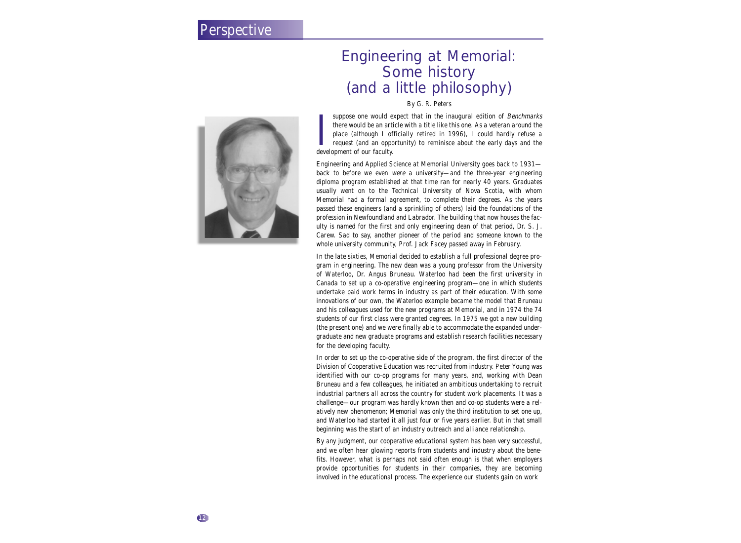#### **Perspective**

### Engineering at Memorial: Some history (and a little philosophy)

By G. R. Peters

suppose one would ex<br>there would be an artic<br>place (although 1 off<br>request (and an oppor<br>development of our faculty. suppose one would expect that in the inaugural edition of Benchmarks there would be an article with a title like this one. As a veteran around the place (although I officially retired in 1996), I could hardly refuse a request (and an opportunity) to reminisce about the early days and the

Engineering and Applied Science at Memorial University goes back to 1931 back to before we even were a university—and the three-year engineering diploma program established at that time ran for nearly 40 years. Graduates usually went on to the Technical University of Nova Scotia, with whom Memorial had a formal agreement, to complete their degrees. As the years passed these engineers (and a sprinkling of others) laid the foundations of the profession in Newfoundland and Labrador. The building that now houses the faculty is named for the first and only engineering dean of that period, Dr. S. J. Carew. Sad to say, another pioneer of the period and someone known to the whole university community, Prof. Jack Facey passed away in February.

In the late sixties, Memorial decided to establish a full professional degree program in engineering. The new dean was a young professor from the University of Waterloo, Dr. Angus Bruneau. Waterloo had been the first university in Canada to set up a co-operative engineering program—one in which students undertake paid work terms in industry as part of their education. With some innovations of our own, the Waterloo example became the model that Bruneau and his colleagues used for the new programs at Memorial, and in 1974 the 74 students of our first class were granted degrees. In 1975 we got a new building (the present one) and we were finally able to accommodate the expanded undergraduate and new graduate programs and establish research facilities necessary for the developing faculty.

In order to set up the co-operative side of the program, the first director of the Division of Cooperative Education was recruited from industry. Peter Young was identified with our co-op programs for many years, and, working with Dean Bruneau and a few colleagues, he initiated an ambitious undertaking to recruit industrial partners all across the country for student work placements. It was a challenge—our program was hardly known then and co-op students were a relatively new phenomenon; Memorial was only the third institution to set one up, and Waterloo had started it all just four or five years earlier. But in that small beginning was the start of an industry outreach and alliance relationship.

By any judgment, our cooperative educational system has been very successful, and we often hear glowing reports from students and industry about the benefits. However, what is perhaps not said often enough is that when employers provide opportunities for students in their companies, they are becoming involved in the educational process. The experience our students gain on work

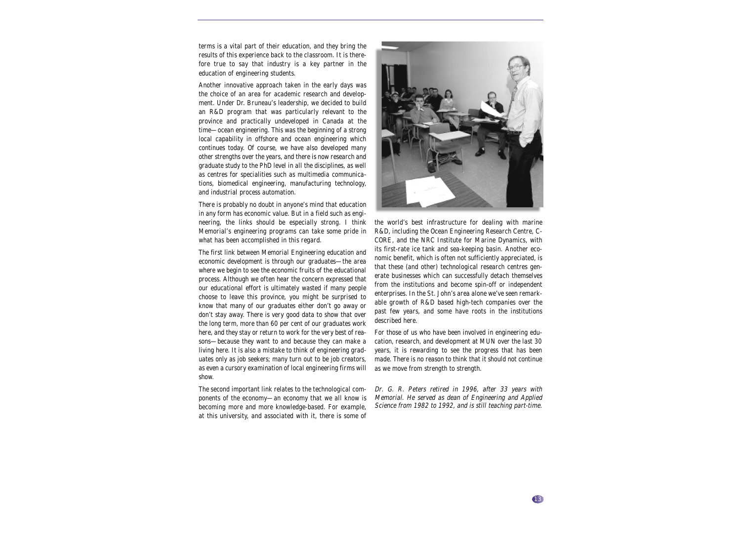terms is a vital part of their education, and they bring the results of this experience back to the classroom. It is therefore true to say that industry is a key partner in the education of engineering students.

Another innovative approach taken in the early days was the choice of an area for academic research and development. Under Dr. Bruneau's leadership, we decided to build an R&D program that was particularly relevant to the province and practically undeveloped in Canada at the time—ocean engineering. This was the beginning of a strong local capability in offshore and ocean engineering which continues today. Of course, we have also developed many other strengths over the years, and there is now research and graduate study to the PhD level in all the disciplines, as well as centres for specialities such as multimedia communications, biomedical engineering, manufacturing technology, and industrial process automation.

There is probably no doubt in anyone's mind that education in any form has economic value. But in a field such as engineering, the links should be especially strong. I think Memorial's engineering programs can take some pride in what has been accomplished in this regard.

The first link between Memorial Engineering education and economic development is through our graduates—the area where we begin to see the economic fruits of the educational process. Although we often hear the concern expressed that our educational effort is ultimately wasted if many people choose to leave this province, you might be surprised to know that many of our graduates either don't go away or don't stay away. There is very good data to show that over the long term, more than 60 per cent of our graduates work here, and they stay or return to work for the very best of reasons—because they want to and because they can make a living here. It is also a mistake to think of engineering graduates only as job seekers; many turn out to be job creators, as even a cursory examination of local engineering firms will show.

The second important link relates to the technological components of the economy—an economy that we all know is becoming more and more knowledge-based. For example, at this university, and associated with it, there is some of



the world's best infrastructure for dealing with marine R&D, including the Ocean Engineering Research Centre, C-CORE, and the NRC Institute for Marine Dynamics, with its first-rate ice tank and sea-keeping basin. Another economic benefit, which is often not sufficiently appreciated, is that these (and other) technological research centres generate businesses which can successfully detach themselves from the institutions and become spin-off or independent enterprises. In the St. John's area alone we've seen remarkable growth of R&D based high-tech companies over the past few years, and some have roots in the institutions described here.

For those of us who have been involved in engineering education, research, and development at MUN over the last 30 years, it is rewarding to see the progress that has been made. There is no reason to think that it should not continue as we move from strength to strength.

Dr. G. R. Peters retired in 1996, after 33 years with Memorial. He served as dean of Engineering and Applied Science from 1982 to 1992, and is still teaching part-time.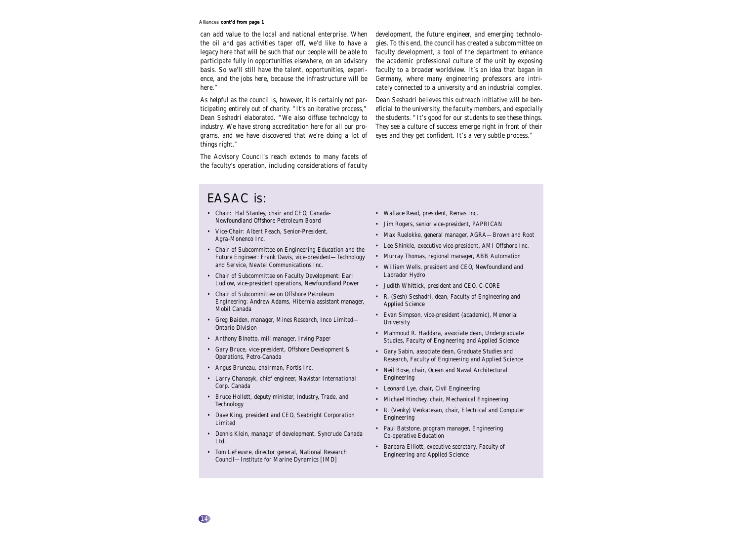#### Alliances *cont'd from page 1*

can add value to the local and national enterprise. When the oil and gas activities taper off, we'd like to have a legacy here that will be such that our people will be able to participate fully in opportunities elsewhere, on an advisory basis. So we'll still have the talent, opportunities, experience, and the jobs here, because the infrastructure will be here."

As helpful as the council is, however, it is certainly not participating entirely out of charity. "It's an iterative process," Dean Seshadri elaborated. "We also diffuse technology to industry. We have strong accreditation here for all our programs, and we have discovered that we're doing a lot of things right."

The Advisory Council's reach extends to many facets of the faculty's operation, including considerations of faculty

development, the future engineer, and emerging technologies. To this end, the council has created a subcommittee on faculty development, a tool of the department to enhance the academic professional culture of the unit by exposing faculty to a broader worldview. It's an idea that began in Germany, where many engineering professors are intricately connected to a university and an industrial complex.

Dean Seshadri believes this outreach initiative will be beneficial to the university, the faculty members, and especially the students. "It's good for our students to see these things. They see a culture of success emerge right in front of their eyes and they get confident. It's a very subtle process."

#### EASAC is:

- Chair: Hal Stanley, chair and CEO, Canada-Newfoundland Offshore Petroleum Board
- Vice-Chair: Albert Peach, Senior-President, Agra-Monenco Inc.
- Chair of Subcommittee on Engineering Education and the Future Engineer: Frank Davis, vice-president—Technology and Service, Newtel Communications Inc.
- Chair of Subcommittee on Faculty Development: Earl Ludlow, vice-president operations, Newfoundland Power
- Chair of Subcommittee on Offshore Petroleum Engineering: Andrew Adams, Hibernia assistant manager, Mobil Canada
- Greg Baiden, manager, Mines Research, Inco Limited— Ontario Division
- Anthony Binotto, mill manager, Irving Paper
- Gary Bruce, vice-president, Offshore Development & Operations, Petro-Canada
- Angus Bruneau, chairman, Fortis Inc.
- Larry Chanasyk, chief engineer, Navistar International Corp. Canada
- Bruce Hollett, deputy minister, Industry, Trade, and Technology
- Dave King, president and CEO, Seabright Corporation Limited
- Dennis Klein, manager of development, Syncrude Canada Ltd.
- Tom LeFeuvre, director general, National Research Council—Institute for Marine Dynamics [IMD]
- Wallace Read, president, Remas Inc.
- Jim Rogers, senior vice-president, PAPRICAN
- Max Ruelokke, general manager, AGRA—Brown and Root
- Lee Shinkle, executive vice-president, AMI Offshore Inc.
- Murray Thomas, regional manager, ABB Automation
- William Wells, president and CEO, Newfoundland and Labrador Hydro
- Judith Whittick, president and CEO, C-CORE
- R. (Sesh) Seshadri, dean, Faculty of Engineering and Applied Science
- Evan Simpson, vice-president (academic), Memorial University
- Mahmoud R. Haddara, associate dean, Undergraduate Studies, Faculty of Engineering and Applied Science
- Gary Sabin, associate dean, Graduate Studies and Research, Faculty of Engineering and Applied Science
- Neil Bose, chair, Ocean and Naval Architectural Engineering
- Leonard Lye, chair, Civil Engineering
- Michael Hinchey, chair, Mechanical Engineering
- R. (Venky) Venkatesan, chair, Electrical and Computer Engineering
- Paul Batstone, program manager, Engineering Co-operative Education
- Barbara Elliott, executive secretary, Faculty of Engineering and Applied Science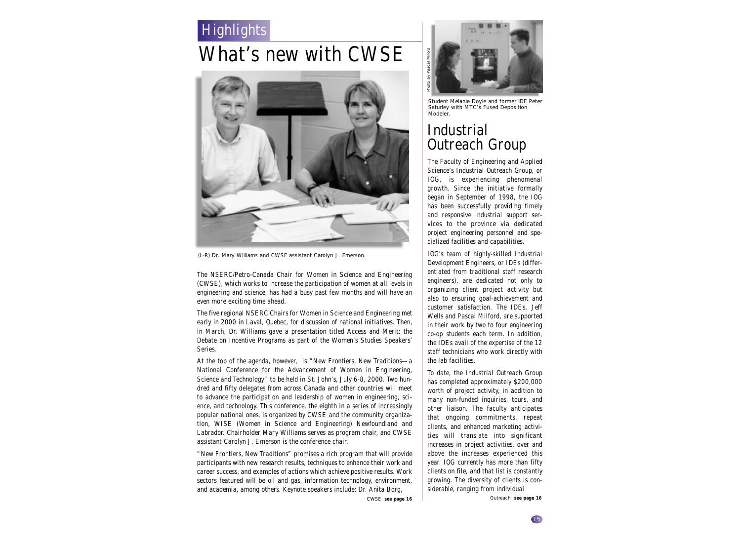### Highlights

## What's new with CWSE



(L-R) Dr. Mary Williams and CWSE assistant Carolyn J. Emerson.

The NSERC/Petro-Canada Chair for Women in Science and Engineering (CWSE), which works to increase the participation of women at all levels in engineering and science, has had a busy past few months and will have an even more exciting time ahead.

The five regional NSERC Chairs for Women in Science and Engineering met early in 2000 in Laval, Quebec, for discussion of national initiatives. Then, in March, Dr. Williams gave a presentation titled Access and Merit: the Debate on Incentive Programs as part of the Women's Studies Speakers' Series.

At the top of the agenda, however, is "New Frontiers, New Traditions—a National Conference for the Advancement of Women in Engineering, Science and Technology" to be held in St. John's, July 6-8, 2000. Two hundred and fifty delegates from across Canada and other countries will meet to advance the participation and leadership of women in engineering, science, and technology. This conference, the eighth in a series of increasingly popular national ones, is organized by CWSE and the community organization, WISE (Women in Science and Engineering) Newfoundland and Labrador. Chairholder Mary Williams serves as program chair, and CWSE assistant Carolyn J. Emerson is the conference chair.

"New Frontiers, New Traditions" promises a rich program that will provide participants with new research results, techniques to enhance their work and career success, and examples of actions which achieve positive results. Work sectors featured will be oil and gas, information technology, environment, and academia, among others. Keynote speakers include: Dr. Anita Borg,



Student Melanie Doyle and former IDE Peter Saturley with MTC's Fused Deposition Modeler.

### Industrial Outreach Group

The Faculty of Engineering and Applied Science's Industrial Outreach Group, or IOG, is experiencing phenomenal growth. Since the initiative formally began in September of 1998, the IOG has been successfully providing timely and responsive industrial support services to the province via dedicated project engineering personnel and specialized facilities and capabilities.

IOG's team of highly-skilled Industrial Development Engineers, or IDEs (differentiated from traditional staff research engineers), are dedicated not only to organizing client project activity but also to ensuring goal-achievement and customer satisfaction. The IDEs, Jeff Wells and Pascal Milford, are supported in their work by two to four engineering co-op students each term. In addition, the IDEs avail of the expertise of the 12 staff technicians who work directly with the lab facilities.

To date, the Industrial Outreach Group has completed approximately \$200,000 worth of project activity, in addition to many non-funded inquiries, tours, and other liaison. The faculty anticipates that ongoing commitments, repeat clients, and enhanced marketing activities will translate into significant increases in project activities, over and above the increases experienced this year. IOG currently has more than fifty clients on file, and that list is constantly growing. The diversity of clients is considerable, ranging from individual

CWSE *see page 16* Outreach *see page 16*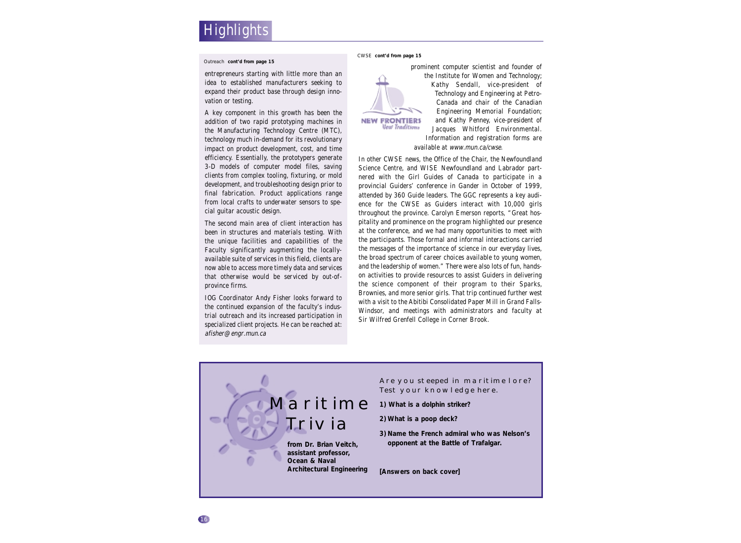#### Outreach *cont'd from page 15*

entrepreneurs starting with little more than an idea to established manufacturers seeking to expand their product base through design innovation or testing.

A key component in this growth has been the addition of two rapid prototyping machines in the Manufacturing Technology Centre (MTC), technology much in-demand for its revolutionary impact on product development, cost, and time efficiency. Essentially, the prototypers generate 3-D models of computer model files, saving clients from complex tooling, fixturing, or mold development, and troubleshooting design prior to final fabrication. Product applications range from local crafts to underwater sensors to special guitar acoustic design.

The second main area of client interaction has been in structures and materials testing. With the unique facilities and capabilities of the Faculty significantly augmenting the locallyavailable suite of services in this field, clients are now able to access more timely data and services that otherwise would be serviced by out-ofprovince firms.

IOG Coordinator Andy Fisher looks forward to the continued expansion of the faculty's industrial outreach and its increased participation in specialized client projects. He can be reached at: afisher@engr.mun.ca

CWSE *cont'd from page 15*



prominent computer scientist and founder of the Institute for Women and Technology; Kathy Sendall, vice-president of Technology and Engineering at Petro-Canada and chair of the Canadian Engineering Memorial Foundation; and Kathy Penney, vice-president of Jacques Whitford Environmental. Information and registration forms are

In other CWSE news, the Office of the Chair, the Newfoundland Science Centre, and WISE Newfoundland and Labrador partnered with the Girl Guides of Canada to participate in a provincial Guiders' conference in Gander in October of 1999, attended by 360 Guide leaders. The GGC represents a key audience for the CWSE as Guiders interact with 10,000 girls throughout the province. Carolyn Emerson reports, "Great hospitality and prominence on the program highlighted our presence at the conference, and we had many opportunities to meet with the participants. Those formal and informal interactions carried the messages of the importance of science in our everyday lives, the broad spectrum of career choices available to young women, and the leadership of women." There were also lots of fun, handson activities to provide resources to assist Guiders in delivering the science component of their program to their Sparks, Brownies, and more senior girls. That trip continued further west with a visit to the Abitibi Consolidated Paper Mill in Grand Falls-Windsor, and meetings with administrators and faculty at Sir Wilfred Grenfell College in Corner Brook.

available at www.mun.ca/cwse.

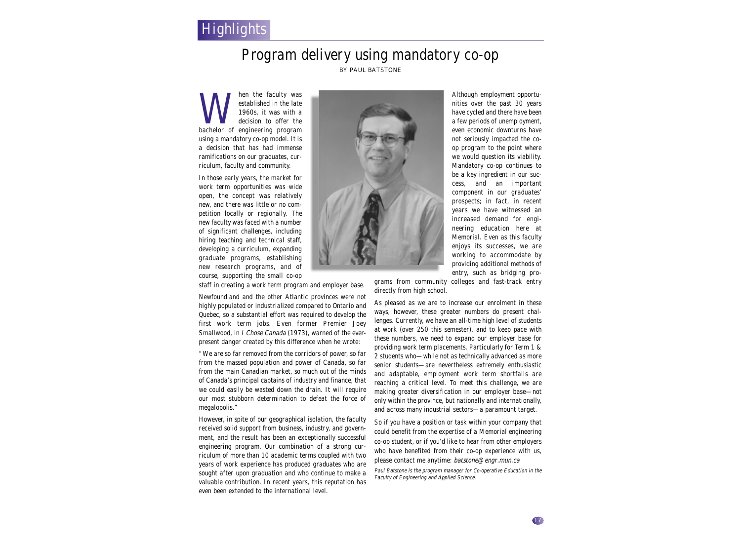### **Highlights**

#### Program delivery using mandatory co-op BY PAUL BATSTONE

Musical the faculty was<br>
established in the late<br>
1960s, it was with a<br>
bachelor of engineering program established in the late 1960s, it was with a decision to offer the using a mandatory co-op model. It is a decision that has had immense ramifications on our graduates, curriculum, faculty and community.

In those early years, the market for work term opportunities was wide open, the concept was relatively new, and there was little or no competition locally or regionally. The new faculty was faced with a number of significant challenges, including hiring teaching and technical staff, developing a curriculum, expanding graduate programs, establishing new research programs, and of course, supporting the small co-op



Although employment opportunities over the past 30 years have cycled and there have been a few periods of unemployment, even economic downturns have not seriously impacted the coop program to the point where we would question its viability. Mandatory co-op continues to be a key ingredient in our success, and an important component in our graduates' prospects; in fact, in recent years we have witnessed an increased demand for engineering education here at Memorial. Even as this faculty enjoys its successes, we are working to accommodate by providing additional methods of entry, such as bridging pro-

staff in creating a work term program and employer base.

Newfoundland and the other Atlantic provinces were not highly populated or industrialized compared to Ontario and Quebec, so a substantial effort was required to develop the first work term jobs. Even former Premier Joey Smallwood, in *I Chose Canada* (1973), warned of the everpresent danger created by this difference when he wrote:

"We are so far removed from the corridors of power, so far from the massed population and power of Canada, so far from the main Canadian market, so much out of the minds of Canada's principal captains of industry and finance, that we could easily be wasted down the drain. It will require our most stubborn determination to defeat the force of megalopolis."

However, in spite of our geographical isolation, the faculty received solid support from business, industry, and government, and the result has been an exceptionally successful engineering program. Our combination of a strong curriculum of more than 10 academic terms coupled with two years of work experience has produced graduates who are sought after upon graduation and who continue to make a valuable contribution. In recent years, this reputation has even been extended to the international level.

grams from community colleges and fast-track entry directly from high school.

As pleased as we are to increase our enrolment in these ways, however, these greater numbers do present challenges. Currently, we have an all-time high level of students at work (over 250 this semester), and to keep pace with these numbers, we need to expand our employer base for providing work term placements. Particularly for Term 1 & 2 students who—while not as technically advanced as more senior students—are nevertheless extremely enthusiastic and adaptable, employment work term shortfalls are reaching a critical level. To meet this challenge, we are making greater diversification in our employer base—not only within the province, but nationally and internationally, and across many industrial sectors—a paramount target.

So if you have a position or task within your company that could benefit from the expertise of a Memorial engineering co-op student, or if you'd like to hear from other employers who have benefited from their co-op experience with us, please contact me anytime: batstone@engr.mun.ca

Paul Batstone is the program manager for Co-operative Education in the Faculty of Engineering and Applied Science.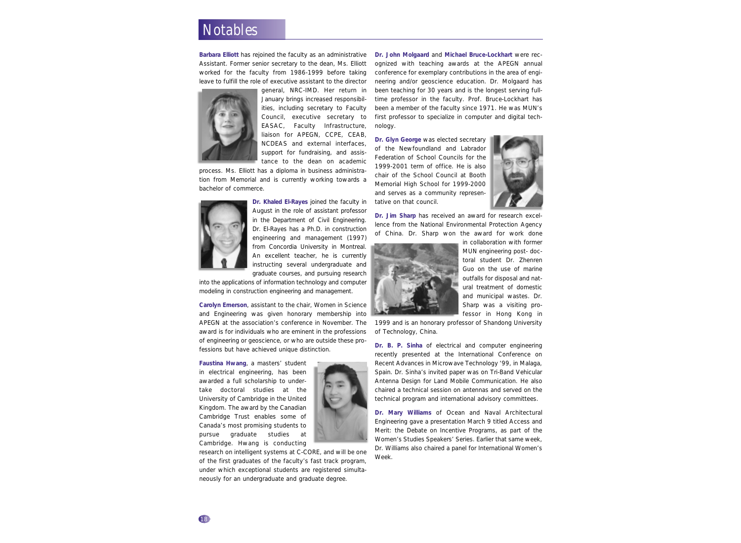### **Notables**

**Barbara Elliott** has rejoined the faculty as an administrative Assistant. Former senior secretary to the dean, Ms. Elliott worked for the faculty from 1986-1999 before taking leave to fulfill the role of executive assistant to the director



general, NRC-IMD. Her return in January brings increased responsibilities, including secretary to Faculty Council, executive secretary to EASAC, Faculty Infrastructure, liaison for APEGN, CCPE, CEAB, NCDEAS and external interfaces, support for fundraising, and assistance to the dean on academic

process. Ms. Elliott has a diploma in business administration from Memorial and is currently working towards a bachelor of commerce.



**Dr. Khaled El-Rayes** joined the faculty in August in the role of assistant professor in the Department of Civil Engineering. Dr. El-Rayes has a Ph.D. in construction engineering and management (1997) from Concordia University in Montreal. An excellent teacher, he is currently instructing several undergraduate and

graduate courses, and pursuing research into the applications of information technology and computer modeling in construction engineering and management.

**Carolyn Emerson**, assistant to the chair, Women in Science and Engineering was given honorary membership into APEGN at the association's conference in November. The award is for individuals who are eminent in the professions of engineering or geoscience, or who are outside these professions but have achieved unique distinction.

**Faustina Hwang**, a masters' student in electrical engineering, has been awarded a full scholarship to undertake doctoral studies at the University of Cambridge in the United Kingdom. The award by the Canadian Cambridge Trust enables some of Canada's most promising students to pursue graduate studies at Cambridge. Hwang is conducting



**Dr. John Molgaard** and **Michael Bruce-Lockhart** were recognized with teaching awards at the APEGN annual conference for exemplary contributions in the area of engineering and/or geoscience education. Dr. Molgaard has been teaching for 30 years and is the longest serving fulltime professor in the faculty. Prof. Bruce-Lockhart has been a member of the faculty since 1971. He was MUN's first professor to specialize in computer and digital technology.

**Dr. Glyn George** was elected secretary of the Newfoundland and Labrador Federation of School Councils for the 1999-2001 term of office. He is also chair of the School Council at Booth Memorial High School for 1999-2000 and serves as a community representative on that council.



**Dr. Jim Sharp** has received an award for research excellence from the National Environmental Protection Agency of China. Dr. Sharp won the award for work done



in collaboration with former MUN engineering post- doctoral student Dr. Zhenren Guo on the use of marine outfalls for disposal and natural treatment of domestic and municipal wastes. Dr. Sharp was a visiting professor in Hong Kong in

1999 and is an honorary professor of Shandong University of Technology, China.

**Dr. B. P. Sinha** of electrical and computer engineering recently presented at the International Conference on Recent Advances in Microwave Technology '99, in Malaga, Spain. Dr. Sinha's invited paper was on Tri-Band Vehicular Antenna Design for Land Mobile Communication. He also chaired a technical session on antennas and served on the technical program and international advisory committees.

**Dr. Mary Williams** of Ocean and Naval Architectural Engineering gave a presentation March 9 titled Access and Merit: the Debate on Incentive Programs, as part of the Women's Studies Speakers' Series. Earlier that same week, Dr. Williams also chaired a panel for International Women's Week.

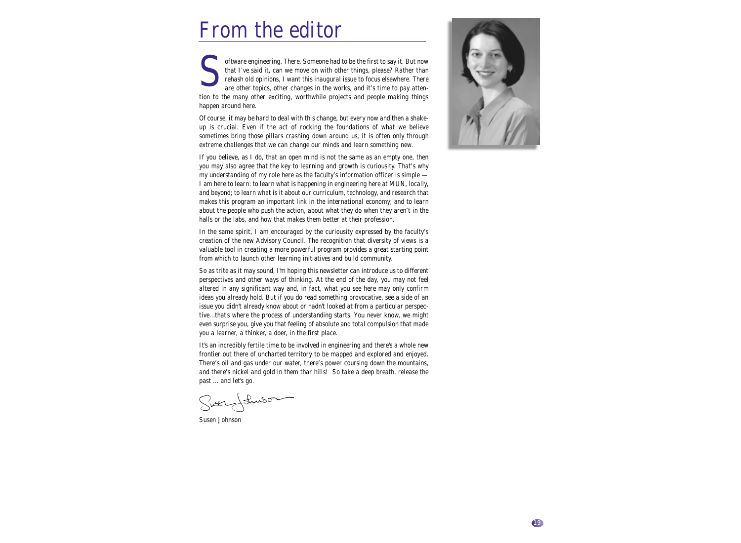## From the editor

oftware engineering. There. Someone had to be the first to say it. But now that I've said it, can we move on with other things, please? Rather than rehash old opinions, I want this inaugural issue to focus elsewhere. There that I've said it, can we move on with other things, please? Rather than rehash old opinions, I want this inaugural issue to focus elsewhere. There are other topics, other changes in the works, and it's time to pay attention to the many other exciting, worthwhile projects and people making things happen around here.

Of course, it may be hard to deal with this change, but every now and then a shakeup is crucial. Even if the act of rocking the foundations of what we believe sometimes bring those pillars crashing down around us, it is often only through extreme challenges that we can change our minds and learn something new.

If you believe, as I do, that an open mind is not the same as an empty one, then you may also agree that the key to learning and growth is curiousity. That's why my understanding of my role here as the faculty's information officer is simple — I am here to learn: to learn what is happening in engineering here at MUN, locally, and beyond; to learn what is it about our curriculum, technology, and research that makes this program an important link in the international economy; and to learn about the people who push the action, about what they do when they aren't in the halls or the labs, and how that makes them better at their profession.

In the same spirit, I am encouraged by the curiousity expressed by the faculty's creation of the new Advisory Council. The recognition that diversity of views is a valuable tool in creating a more powerful program provides a great starting point from which to launch other learning initiatives and build community.

So as trite as it may sound, I'm hoping this newsletter can introduce us to different perspectives and other ways of thinking. At the end of the day, you may not feel altered in any significant way and, in fact, what you see here may only confirm ideas you already hold. But if you do read something provocative, see a side of an issue you didn't already know about or hadn't looked at from a particular perspective...that's where the process of understanding starts. You never know, we might even surprise you, give you that feeling of absolute and total compulsion that made you a learner, a thinker, a doer, in the first place.

It's an incredibly fertile time to be involved in engineering and there's a whole new frontier out there of uncharted territory to be mapped and explored and enjoyed. There's oil and gas under our water, there's power coursing down the mountains, and there's nickel and gold in them thar hills! So take a deep breath, release the past ... and let's go.

Susen Johnson